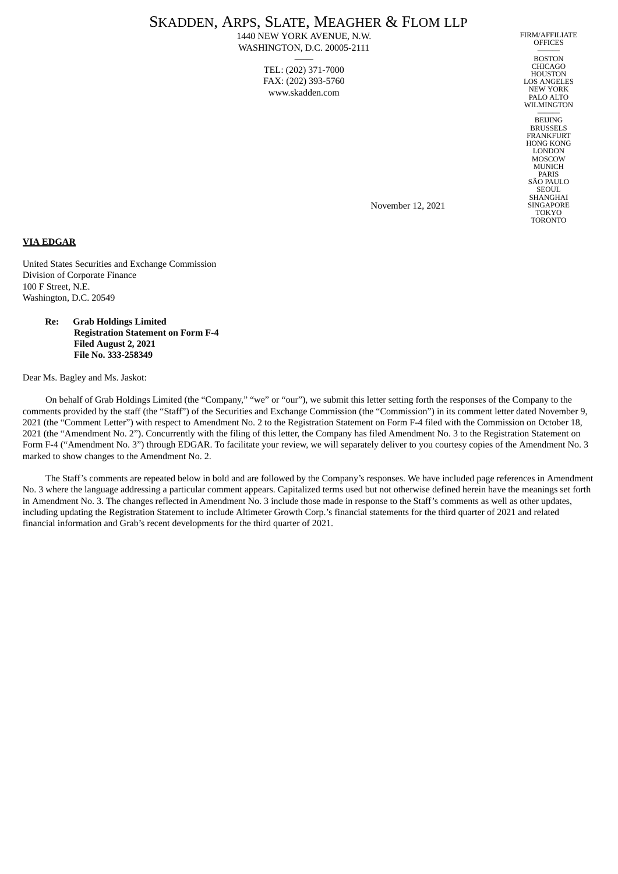# SKADDEN, ARPS, SLATE, MEAGHER & FLOM LLP

1440 NEW YORK AVENUE, N.W. WASHINGTON, D.C. 20005-2111 ——

> TEL: (202) 371-7000 FAX: (202) 393-5760 www.skadden.com

FIRM/AFFILIATE **OFFICES** ———

BOSTON CHICAGO HOUSTON LOS ANGELES NEW YORK PALO ALTO **WILMINGTON** 

——— BEIJING BRUSSELS FRANKFURT HONG KONG LONDON **MOSCOW** MUNICH PARIS SÃO PAULO **SEOUL SHANGHAI** SINGAPORE TOKYO TORONTO

November 12, 2021

**VIA EDGAR**

United States Securities and Exchange Commission Division of Corporate Finance 100 F Street, N.E. Washington, D.C. 20549

> **Re: Grab Holdings Limited Registration Statement on Form F-4 Filed August 2, 2021 File No. 333-258349**

Dear Ms. Bagley and Ms. Jaskot:

On behalf of Grab Holdings Limited (the "Company," "we" or "our"), we submit this letter setting forth the responses of the Company to the comments provided by the staff (the "Staff") of the Securities and Exchange Commission (the "Commission") in its comment letter dated November 9, 2021 (the "Comment Letter") with respect to Amendment No. 2 to the Registration Statement on Form F-4 filed with the Commission on October 18, 2021 (the "Amendment No. 2"). Concurrently with the filing of this letter, the Company has filed Amendment No. 3 to the Registration Statement on Form F-4 ("Amendment No. 3") through EDGAR. To facilitate your review, we will separately deliver to you courtesy copies of the Amendment No. 3 marked to show changes to the Amendment No. 2.

The Staff's comments are repeated below in bold and are followed by the Company's responses. We have included page references in Amendment No. 3 where the language addressing a particular comment appears. Capitalized terms used but not otherwise defined herein have the meanings set forth in Amendment No. 3. The changes reflected in Amendment No. 3 include those made in response to the Staff's comments as well as other updates, including updating the Registration Statement to include Altimeter Growth Corp.'s financial statements for the third quarter of 2021 and related financial information and Grab's recent developments for the third quarter of 2021.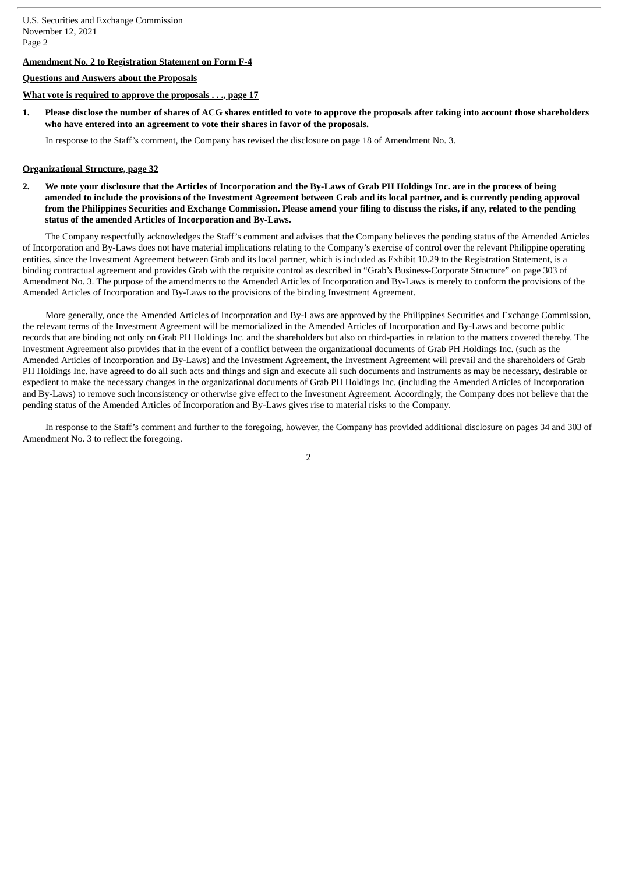## **Amendment No. 2 to Registration Statement on Form F-4**

## **Questions and Answers about the Proposals**

#### **What vote is required to approve the proposals . . ., page 17**

1. Please disclose the number of shares of ACG shares entitled to vote to approve the proposals after taking into account those shareholders **who have entered into an agreement to vote their shares in favor of the proposals.**

In response to the Staff's comment, the Company has revised the disclosure on page 18 of Amendment No. 3.

#### **Organizational Structure, page 32**

2. We note your disclosure that the Articles of Incorporation and the By-Laws of Grab PH Holdings Inc. are in the process of being amended to include the provisions of the Investment Agreement between Grab and its local partner, and is currently pending approval from the Philippines Securities and Exchange Commission. Please amend your filing to discuss the risks, if any, related to the pending **status of the amended Articles of Incorporation and By-Laws.**

The Company respectfully acknowledges the Staff's comment and advises that the Company believes the pending status of the Amended Articles of Incorporation and By-Laws does not have material implications relating to the Company's exercise of control over the relevant Philippine operating entities, since the Investment Agreement between Grab and its local partner, which is included as Exhibit 10.29 to the Registration Statement, is a binding contractual agreement and provides Grab with the requisite control as described in "Grab's Business-Corporate Structure" on page 303 of Amendment No. 3. The purpose of the amendments to the Amended Articles of Incorporation and By-Laws is merely to conform the provisions of the Amended Articles of Incorporation and By-Laws to the provisions of the binding Investment Agreement.

More generally, once the Amended Articles of Incorporation and By-Laws are approved by the Philippines Securities and Exchange Commission, the relevant terms of the Investment Agreement will be memorialized in the Amended Articles of Incorporation and By-Laws and become public records that are binding not only on Grab PH Holdings Inc. and the shareholders but also on third-parties in relation to the matters covered thereby. The Investment Agreement also provides that in the event of a conflict between the organizational documents of Grab PH Holdings Inc. (such as the Amended Articles of Incorporation and By-Laws) and the Investment Agreement, the Investment Agreement will prevail and the shareholders of Grab PH Holdings Inc. have agreed to do all such acts and things and sign and execute all such documents and instruments as may be necessary, desirable or expedient to make the necessary changes in the organizational documents of Grab PH Holdings Inc. (including the Amended Articles of Incorporation and By-Laws) to remove such inconsistency or otherwise give effect to the Investment Agreement. Accordingly, the Company does not believe that the pending status of the Amended Articles of Incorporation and By-Laws gives rise to material risks to the Company.

In response to the Staff's comment and further to the foregoing, however, the Company has provided additional disclosure on pages 34 and 303 of Amendment No. 3 to reflect the foregoing.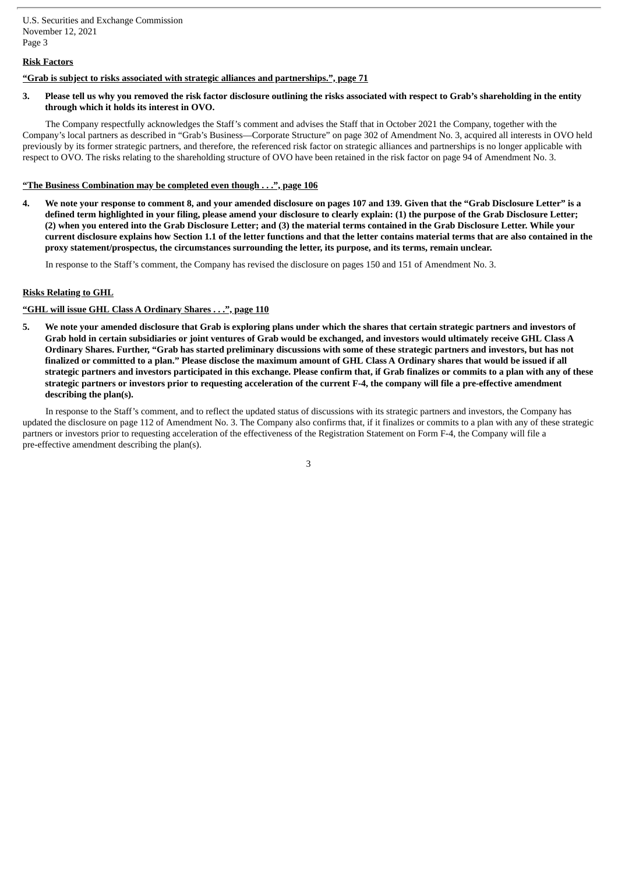## **Risk Factors**

## **"Grab is subject to risks associated with strategic alliances and partnerships.", page 71**

3. Please tell us why you removed the risk factor disclosure outlining the risks associated with respect to Grab's shareholding in the entity **through which it holds its interest in OVO.**

The Company respectfully acknowledges the Staff's comment and advises the Staff that in October 2021 the Company, together with the Company's local partners as described in "Grab's Business—Corporate Structure" on page 302 of Amendment No. 3, acquired all interests in OVO held previously by its former strategic partners, and therefore, the referenced risk factor on strategic alliances and partnerships is no longer applicable with respect to OVO. The risks relating to the shareholding structure of OVO have been retained in the risk factor on page 94 of Amendment No. 3.

## **"The Business Combination may be completed even though . . .", page 106**

4. We note your response to comment 8, and your amended disclosure on pages 107 and 139. Given that the "Grab Disclosure Letter" is a defined term highlighted in your filing, please amend your disclosure to clearly explain: (1) the purpose of the Grab Disclosure Letter; (2) when you entered into the Grab Disclosure Letter; and (3) the material terms contained in the Grab Disclosure Letter. While your current disclosure explains how Section 1.1 of the letter functions and that the letter contains material terms that are also contained in the **proxy statement/prospectus, the circumstances surrounding the letter, its purpose, and its terms, remain unclear.**

In response to the Staff's comment, the Company has revised the disclosure on pages 150 and 151 of Amendment No. 3.

### **Risks Relating to GHL**

### **"GHL will issue GHL Class A Ordinary Shares . . .", page 110**

5. We note your amended disclosure that Grab is exploring plans under which the shares that certain strategic partners and investors of Grab hold in certain subsidiaries or joint ventures of Grab would be exchanged, and investors would ultimately receive GHL Class A Ordinary Shares. Further, "Grab has started preliminary discussions with some of these strategic partners and investors, but has not finalized or committed to a plan." Please disclose the maximum amount of GHL Class A Ordinary shares that would be issued if all strategic partners and investors participated in this exchange. Please confirm that, if Grab finalizes or commits to a plan with any of these strategic partners or investors prior to requesting acceleration of the current F-4, the company will file a pre-effective amendment **describing the plan(s).**

In response to the Staff's comment, and to reflect the updated status of discussions with its strategic partners and investors, the Company has updated the disclosure on page 112 of Amendment No. 3. The Company also confirms that, if it finalizes or commits to a plan with any of these strategic partners or investors prior to requesting acceleration of the effectiveness of the Registration Statement on Form F-4, the Company will file a pre-effective amendment describing the plan(s).

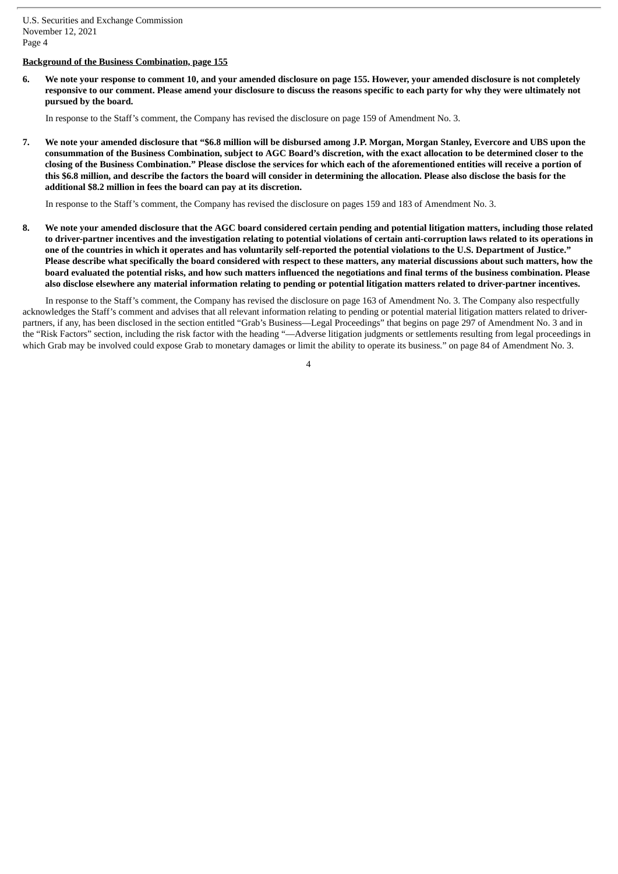# **Background of the Business Combination, page 155**

6. We note your response to comment 10, and your amended disclosure on page 155. However, your amended disclosure is not completely responsive to our comment. Please amend your disclosure to discuss the reasons specific to each party for why they were ultimately not **pursued by the board.**

In response to the Staff's comment, the Company has revised the disclosure on page 159 of Amendment No. 3.

7. We note your amended disclosure that "\$6.8 million will be disbursed among J.P. Morgan, Morgan Stanley, Evercore and UBS upon the consummation of the Business Combination, subject to AGC Board's discretion, with the exact allocation to be determined closer to the closing of the Business Combination." Please disclose the services for which each of the aforementioned entities will receive a portion of this \$6.8 million, and describe the factors the board will consider in determining the allocation. Please also disclose the basis for the **additional \$8.2 million in fees the board can pay at its discretion.**

In response to the Staff's comment, the Company has revised the disclosure on pages 159 and 183 of Amendment No. 3.

8. We note your amended disclosure that the AGC board considered certain pending and potential litigation matters, including those related to driver-partner incentives and the investigation relating to potential violations of certain anti-corruption laws related to its operations in one of the countries in which it operates and has voluntarily self-reported the potential violations to the U.S. Department of Justice." Please describe what specifically the board considered with respect to these matters, any material discussions about such matters, how the board evaluated the potential risks, and how such matters influenced the negotiations and final terms of the business combination. Please also disclose elsewhere any material information relating to pending or potential litigation matters related to driver-partner incentives.

In response to the Staff's comment, the Company has revised the disclosure on page 163 of Amendment No. 3. The Company also respectfully acknowledges the Staff's comment and advises that all relevant information relating to pending or potential material litigation matters related to driverpartners, if any, has been disclosed in the section entitled "Grab's Business—Legal Proceedings" that begins on page 297 of Amendment No. 3 and in the "Risk Factors" section, including the risk factor with the heading "—Adverse litigation judgments or settlements resulting from legal proceedings in which Grab may be involved could expose Grab to monetary damages or limit the ability to operate its business." on page 84 of Amendment No. 3.

 $\overline{A}$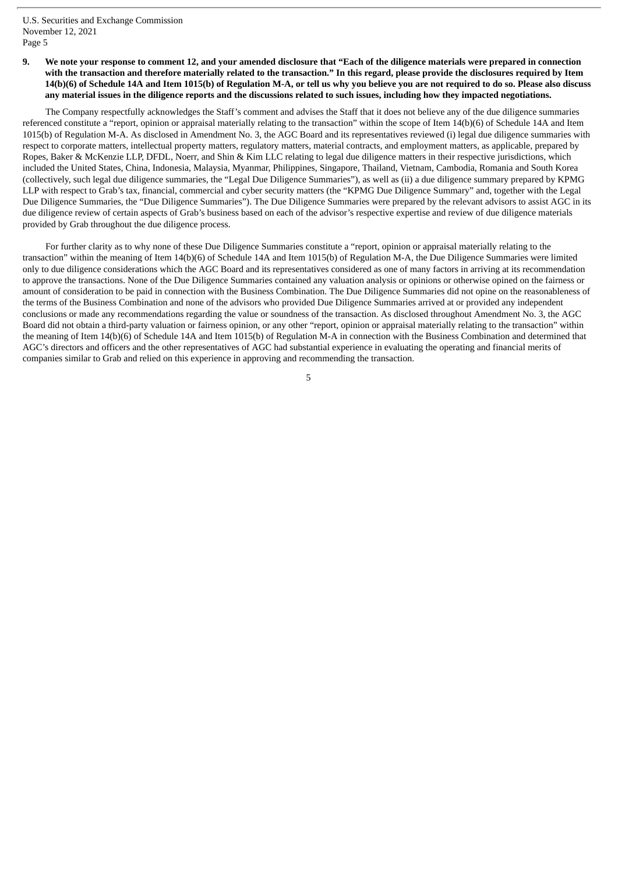9. We note your response to comment 12, and your amended disclosure that "Each of the diligence materials were prepared in connection with the transaction and therefore materially related to the transaction." In this regard, please provide the disclosures required by Item 14(b)(6) of Schedule 14A and Item 1015(b) of Regulation M-A, or tell us why you believe you are not required to do so. Please also discuss any material issues in the diligence reports and the discussions related to such issues, including how they impacted negotiations.

The Company respectfully acknowledges the Staff's comment and advises the Staff that it does not believe any of the due diligence summaries referenced constitute a "report, opinion or appraisal materially relating to the transaction" within the scope of Item 14(b)(6) of Schedule 14A and Item 1015(b) of Regulation M-A. As disclosed in Amendment No. 3, the AGC Board and its representatives reviewed (i) legal due diligence summaries with respect to corporate matters, intellectual property matters, regulatory matters, material contracts, and employment matters, as applicable, prepared by Ropes, Baker & McKenzie LLP, DFDL, Noerr, and Shin & Kim LLC relating to legal due diligence matters in their respective jurisdictions, which included the United States, China, Indonesia, Malaysia, Myanmar, Philippines, Singapore, Thailand, Vietnam, Cambodia, Romania and South Korea (collectively, such legal due diligence summaries, the "Legal Due Diligence Summaries"), as well as (ii) a due diligence summary prepared by KPMG LLP with respect to Grab's tax, financial, commercial and cyber security matters (the "KPMG Due Diligence Summary" and, together with the Legal Due Diligence Summaries, the "Due Diligence Summaries"). The Due Diligence Summaries were prepared by the relevant advisors to assist AGC in its due diligence review of certain aspects of Grab's business based on each of the advisor's respective expertise and review of due diligence materials provided by Grab throughout the due diligence process.

For further clarity as to why none of these Due Diligence Summaries constitute a "report, opinion or appraisal materially relating to the transaction" within the meaning of Item 14(b)(6) of Schedule 14A and Item 1015(b) of Regulation M-A, the Due Diligence Summaries were limited only to due diligence considerations which the AGC Board and its representatives considered as one of many factors in arriving at its recommendation to approve the transactions. None of the Due Diligence Summaries contained any valuation analysis or opinions or otherwise opined on the fairness or amount of consideration to be paid in connection with the Business Combination. The Due Diligence Summaries did not opine on the reasonableness of the terms of the Business Combination and none of the advisors who provided Due Diligence Summaries arrived at or provided any independent conclusions or made any recommendations regarding the value or soundness of the transaction. As disclosed throughout Amendment No. 3, the AGC Board did not obtain a third-party valuation or fairness opinion, or any other "report, opinion or appraisal materially relating to the transaction" within the meaning of Item 14(b)(6) of Schedule 14A and Item 1015(b) of Regulation M-A in connection with the Business Combination and determined that AGC's directors and officers and the other representatives of AGC had substantial experience in evaluating the operating and financial merits of companies similar to Grab and relied on this experience in approving and recommending the transaction.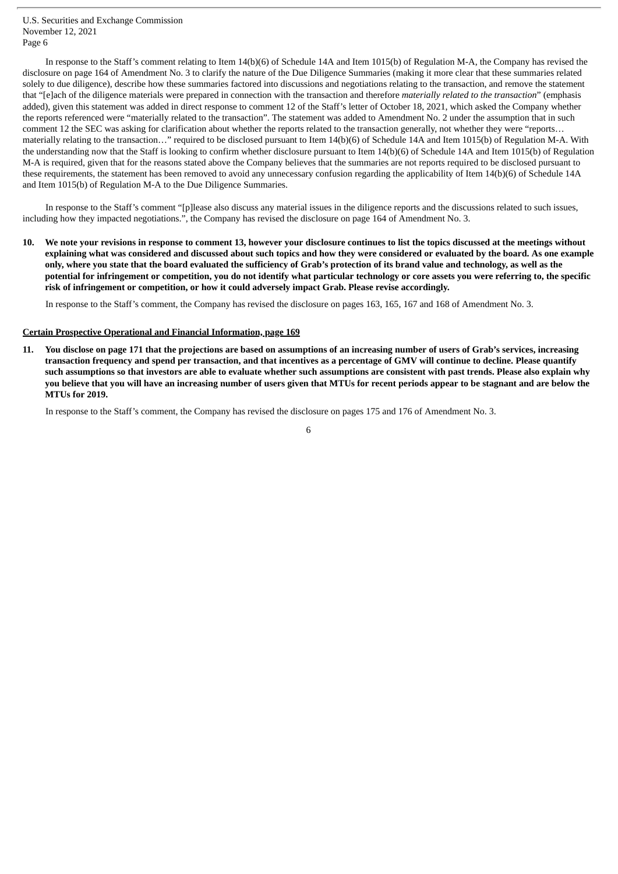In response to the Staff's comment relating to Item 14(b)(6) of Schedule 14A and Item 1015(b) of Regulation M-A, the Company has revised the disclosure on page 164 of Amendment No. 3 to clarify the nature of the Due Diligence Summaries (making it more clear that these summaries related solely to due diligence), describe how these summaries factored into discussions and negotiations relating to the transaction, and remove the statement that "[e]ach of the diligence materials were prepared in connection with the transaction and therefore *materially related to the transaction*" (emphasis added), given this statement was added in direct response to comment 12 of the Staff's letter of October 18, 2021, which asked the Company whether the reports referenced were "materially related to the transaction". The statement was added to Amendment No. 2 under the assumption that in such comment 12 the SEC was asking for clarification about whether the reports related to the transaction generally, not whether they were "reports… materially relating to the transaction…" required to be disclosed pursuant to Item 14(b)(6) of Schedule 14A and Item 1015(b) of Regulation M-A. With the understanding now that the Staff is looking to confirm whether disclosure pursuant to Item 14(b)(6) of Schedule 14A and Item 1015(b) of Regulation M-A is required, given that for the reasons stated above the Company believes that the summaries are not reports required to be disclosed pursuant to these requirements, the statement has been removed to avoid any unnecessary confusion regarding the applicability of Item 14(b)(6) of Schedule 14A and Item 1015(b) of Regulation M-A to the Due Diligence Summaries.

In response to the Staff's comment "[p]lease also discuss any material issues in the diligence reports and the discussions related to such issues, including how they impacted negotiations.", the Company has revised the disclosure on page 164 of Amendment No. 3.

10. We note vour revisions in response to comment 13, however vour disclosure continues to list the topics discussed at the meetings without explaining what was considered and discussed about such topics and how they were considered or evaluated by the board. As one example only, where you state that the board evaluated the sufficiency of Grab's protection of its brand value and technology, as well as the potential for infringement or competition, you do not identify what particular technology or core assets you were referring to, the specific **risk of infringement or competition, or how it could adversely impact Grab. Please revise accordingly.**

In response to the Staff's comment, the Company has revised the disclosure on pages 163, 165, 167 and 168 of Amendment No. 3.

#### **Certain Prospective Operational and Financial Information, page 169**

You disclose on page 171 that the projections are based on assumptions of an increasing number of users of Grab's services, increasing transaction frequency and spend per transaction, and that incentives as a percentage of GMV will continue to decline. Please quantify such assumptions so that investors are able to evaluate whether such assumptions are consistent with past trends. Please also explain why you believe that you will have an increasing number of users given that MTUs for recent periods appear to be stagnant and are below the **MTUs for 2019.**

In response to the Staff's comment, the Company has revised the disclosure on pages 175 and 176 of Amendment No. 3.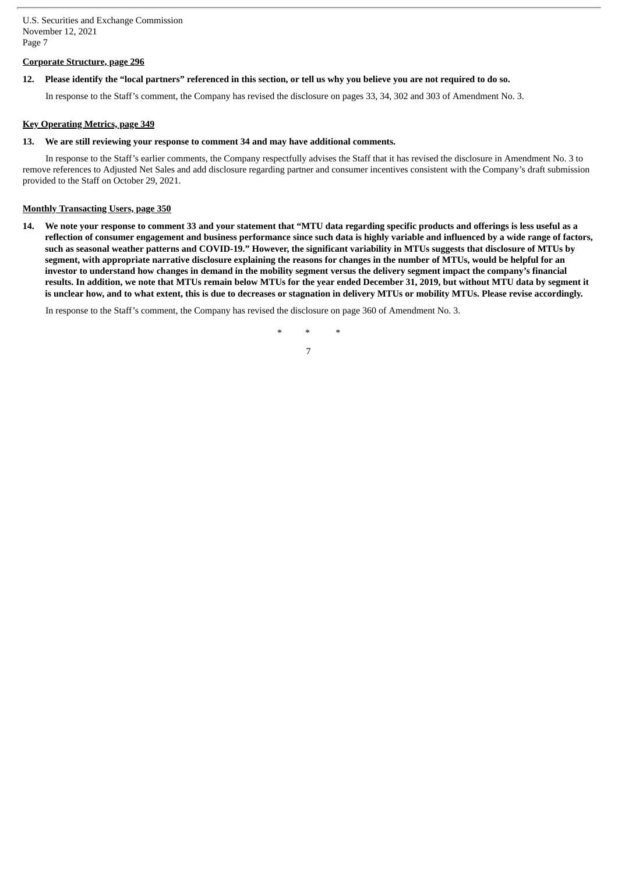## **Corporate Structure, page 296**

# 12. Please identify the "local partners" referenced in this section, or tell us why you believe you are not required to do so.

In response to the Staff's comment, the Company has revised the disclosure on pages 33, 34, 302 and 303 of Amendment No. 3.

## **Key Operating Metrics, page 349**

### **13. We are still reviewing your response to comment 34 and may have additional comments.**

In response to the Staff's earlier comments, the Company respectfully advises the Staff that it has revised the disclosure in Amendment No. 3 to remove references to Adjusted Net Sales and add disclosure regarding partner and consumer incentives consistent with the Company's draft submission provided to the Staff on October 29, 2021.

## **Monthly Transacting Users, page 350**

14. We note your response to comment 33 and your statement that "MTU data regarding specific products and offerings is less useful as a reflection of consumer engagement and business performance since such data is highly variable and influenced by a wide range of factors, such as seasonal weather patterns and COVID-19." However, the significant variability in MTUs suggests that disclosure of MTUs by segment, with appropriate narrative disclosure explaining the reasons for changes in the number of MTUs, would be helpful for an investor to understand how changes in demand in the mobility segment versus the delivery segment impact the company's financial results. In addition, we note that MTUs remain below MTUs for the year ended December 31, 2019, but without MTU data by segment it is unclear how, and to what extent, this is due to decreases or stagnation in delivery MTUs or mobility MTUs. Please revise accordingly.

In response to the Staff's comment, the Company has revised the disclosure on page 360 of Amendment No. 3.

*\* \* \** 7